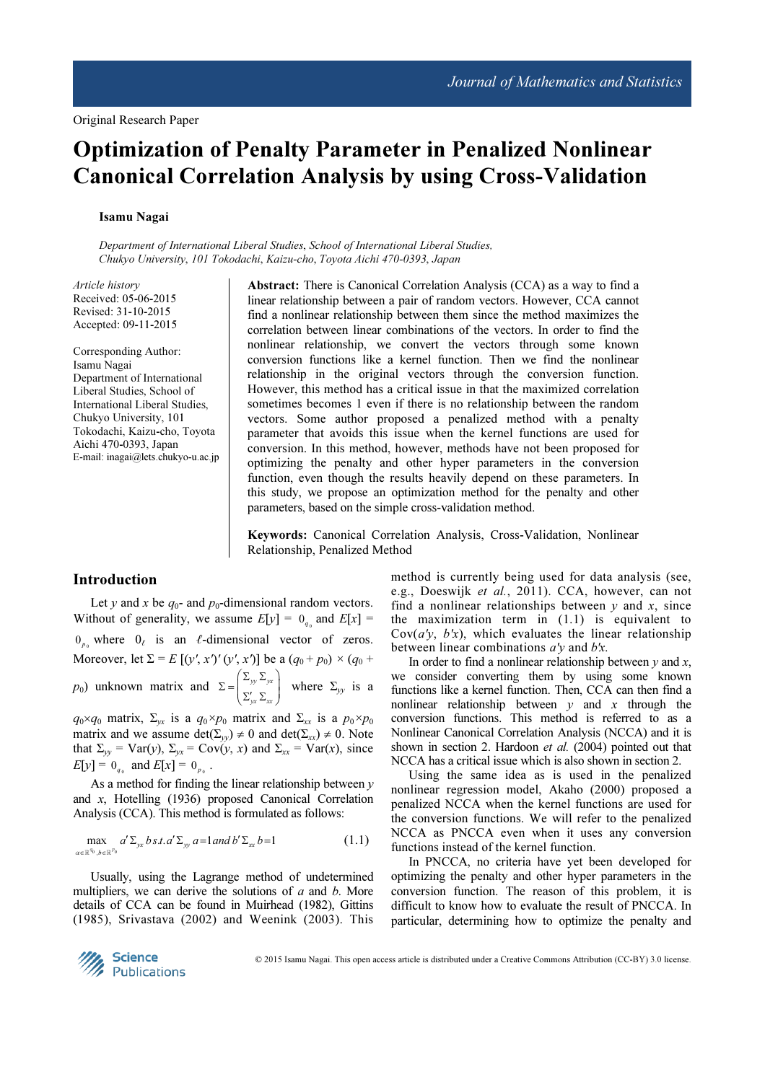# Optimization of Penalty Parameter in Penalized Nonlinear Canonical Correlation Analysis by using Cross-Validation

## Isamu Nagai

Department of International Liberal Studies, School of International Liberal Studies, Chukyo University, 101 Tokodachi, Kaizu-cho, Toyota Aichi 470-0393, Japan

Article history Received: 05-06-2015 Revised: 31-10-2015 Accepted: 09-11-2015

Corresponding Author: Isamu Nagai Department of International Liberal Studies, School of International Liberal Studies, Chukyo University, 101 Tokodachi, Kaizu-cho, Toyota Aichi 470-0393, Japan E-mail: inagai@lets.chukyo-u.ac.jp Abstract: There is Canonical Correlation Analysis (CCA) as a way to find a linear relationship between a pair of random vectors. However, CCA cannot find a nonlinear relationship between them since the method maximizes the correlation between linear combinations of the vectors. In order to find the nonlinear relationship, we convert the vectors through some known conversion functions like a kernel function. Then we find the nonlinear relationship in the original vectors through the conversion function. However, this method has a critical issue in that the maximized correlation sometimes becomes 1 even if there is no relationship between the random vectors. Some author proposed a penalized method with a penalty parameter that avoids this issue when the kernel functions are used for conversion. In this method, however, methods have not been proposed for optimizing the penalty and other hyper parameters in the conversion function, even though the results heavily depend on these parameters. In this study, we propose an optimization method for the penalty and other parameters, based on the simple cross-validation method.

Keywords: Canonical Correlation Analysis, Cross-Validation, Nonlinear Relationship, Penalized Method

## Introduction

Let y and x be  $q_0$ - and  $p_0$ -dimensional random vectors. Without of generality, we assume  $E[y] = 0_{q_0}$  and  $E[x] =$  $0_{p_0}$  where  $0_\ell$  is an  $\ell$ -dimensional vector of zeros. Moreover, let  $\Sigma = E [(y', x')'(y', x')]$  be a  $(q_0 + p_0) \times (q_0 +$  $p_0$ ) unknown matrix and  $\Sigma = \int_{-\infty}^{\infty} y \, dy$  $yx - xx$  $(\Sigma_{\ldots},\Sigma_{\ldots})$  $\Sigma = \begin{pmatrix} -\frac{yy}{xy} - yx \\ \sum_{yx} \sum_{xx} \end{pmatrix}$ where  $\Sigma_{yy}$  is a

 $q_0 \times q_0$  matrix,  $\Sigma_{yx}$  is a  $q_0 \times p_0$  matrix and  $\Sigma_{xx}$  is a  $p_0 \times p_0$ matrix and we assume  $\det(\Sigma_w) \neq 0$  and  $\det(\Sigma_x) \neq 0$ . Note that  $\Sigma_{yy}$  = Var(y),  $\Sigma_{yx}$  = Cov(y, x) and  $\Sigma_{xx}$  = Var(x), since  $E[y] = 0_{q_0}$  and  $E[x] = 0_{p_0}$ .

As a method for finding the linear relationship between  $y$ and x, Hotelling (1936) proposed Canonical Correlation Analysis (CCA). This method is formulated as follows:

$$
\max_{\alpha \in \mathbb{R}^{q_0}, b \in \mathbb{R}^{p_0}} a' \Sigma_{yx} b \, st. a' \Sigma_{yy} a = 1 \, and \, b' \Sigma_{xx} b = 1 \tag{1.1}
$$

Usually, using the Lagrange method of undetermined multipliers, we can derive the solutions of  $a$  and  $b$ . More details of CCA can be found in Muirhead (1982), Gittins (1985), Srivastava (2002) and Weenink (2003). This method is currently being used for data analysis (see, e.g., Doeswijk et al., 2011). CCA, however, can not find a nonlinear relationships between  $y$  and  $x$ , since the maximization term in (1.1) is equivalent to  $Cov(a'y, b'x)$ , which evaluates the linear relationship between linear combinations  $a'y$  and  $b'x$ .

In order to find a nonlinear relationship between  $y$  and  $x$ , we consider converting them by using some known functions like a kernel function. Then, CCA can then find a nonlinear relationship between  $y$  and  $x$  through the conversion functions. This method is referred to as a Nonlinear Canonical Correlation Analysis (NCCA) and it is shown in section 2. Hardoon *et al.* (2004) pointed out that NCCA has a critical issue which is also shown in section 2.

Using the same idea as is used in the penalized nonlinear regression model, Akaho (2000) proposed a penalized NCCA when the kernel functions are used for the conversion functions. We will refer to the penalized NCCA as PNCCA even when it uses any conversion functions instead of the kernel function.

In PNCCA, no criteria have yet been developed for optimizing the penalty and other hyper parameters in the conversion function. The reason of this problem, it is difficult to know how to evaluate the result of PNCCA. In particular, determining how to optimize the penalty and

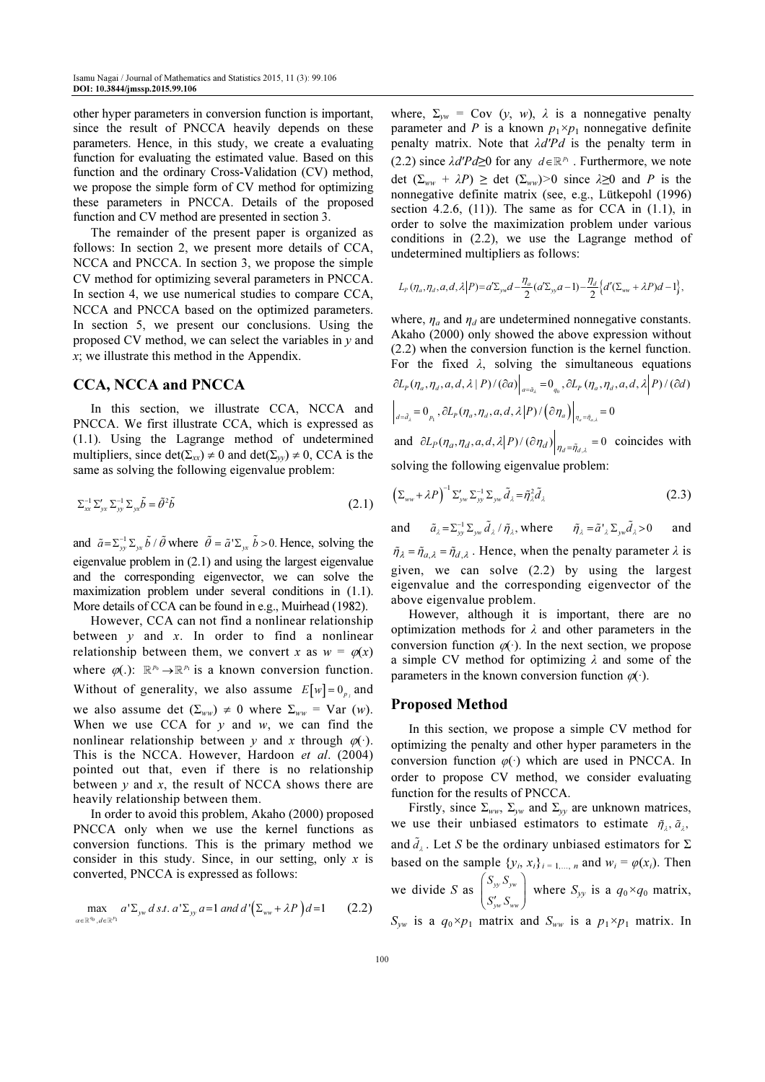other hyper parameters in conversion function is important, since the result of PNCCA heavily depends on these parameters. Hence, in this study, we create a evaluating function for evaluating the estimated value. Based on this function and the ordinary Cross-Validation (CV) method, we propose the simple form of CV method for optimizing these parameters in PNCCA. Details of the proposed function and CV method are presented in section 3.

The remainder of the present paper is organized as follows: In section 2, we present more details of CCA, NCCA and PNCCA. In section 3, we propose the simple CV method for optimizing several parameters in PNCCA. In section 4, we use numerical studies to compare CCA, NCCA and PNCCA based on the optimized parameters. In section 5, we present our conclusions. Using the proposed CV method, we can select the variables in  $y$  and x; we illustrate this method in the Appendix.

# CCA, NCCA and PNCCA

In this section, we illustrate CCA, NCCA and PNCCA. We first illustrate CCA, which is expressed as (1.1). Using the Lagrange method of undetermined multipliers, since  $\det(\Sigma_{xx}) \neq 0$  and  $\det(\Sigma_{yy}) \neq 0$ , CCA is the same as solving the following eigenvalue problem:

$$
\Sigma_{xx}^{-1}\Sigma_{yx}'\Sigma_{yy}^{-1}\Sigma_{yx}\tilde{b} = \tilde{\theta}^2\tilde{b}
$$
\n(2.1)

and  $\tilde{a} = \sum_{y}^{-1} \sum_{y} \tilde{b} / \tilde{\theta}$  where  $\tilde{\theta} = \tilde{a}' \sum_{y} \tilde{b} > 0$ . Hence, solving the eigenvalue problem in (2.1) and using the largest eigenvalue and the corresponding eigenvector, we can solve the maximization problem under several conditions in (1.1). More details of CCA can be found in e.g., Muirhead (1982).

However, CCA can not find a nonlinear relationship between  $y$  and  $x$ . In order to find a nonlinear relationship between them, we convert x as  $w = \varphi(x)$ where  $\varphi(.)$ :  $\mathbb{R}^{p_0} \to \mathbb{R}^{p_1}$  is a known conversion function. Without of generality, we also assume  $E[w] = 0_{p_i}$  and we also assume det  $(\Sigma_{ww}) \neq 0$  where  $\Sigma_{ww} = \text{Var}(w)$ . When we use CCA for  $y$  and  $w$ , we can find the nonlinear relationship between y and x through  $\varphi(\cdot)$ . This is the NCCA. However, Hardoon et al. (2004) pointed out that, even if there is no relationship between  $y$  and  $x$ , the result of NCCA shows there are heavily relationship between them.

In order to avoid this problem, Akaho (2000) proposed PNCCA only when we use the kernel functions as conversion functions. This is the primary method we consider in this study. Since, in our setting, only  $x$  is converted, PNCCA is expressed as follows:

$$
\max_{\alpha \in \mathbb{R}^{q_0}, d \in \mathbb{R}^{p_1}} a' \Sigma_{\mathbf{y}_w} d \, s.t. \, a' \Sigma_{\mathbf{y}_y} a = 1 \, and \, d' \big( \Sigma_{\mathbf{w}_w} + \lambda P \big) d = 1 \qquad (2.2)
$$

where,  $\Sigma_{vw}$  = Cov (y, w),  $\lambda$  is a nonnegative penalty parameter and P is a known  $p_1 \times p_1$  nonnegative definite penalty matrix. Note that  $\lambda d'Pd$  is the penalty term in (2.2) since  $\lambda d'Pd\succeq 0$  for any  $d\in\mathbb{R}^{p_1}$ . Furthermore, we note det  $(\Sigma_{ww} + \lambda P) \geq$  det  $(\Sigma_{ww}) > 0$  since  $\lambda \geq 0$  and P is the nonnegative definite matrix (see, e.g., Lütkepohl (1996) section 4.2.6,  $(11)$ ). The same as for CCA in  $(1.1)$ , in order to solve the maximization problem under various conditions in (2.2), we use the Lagrange method of undetermined multipliers as follows:

$$
L_p(\eta_a,\eta_d,a,d,\lambda|P)=a'\Sigma_{yw}d-\frac{\eta_a}{2}(a'\Sigma_{yw}a-1)-\frac{\eta_d}{2}\Big\{d'(\Sigma_{ww}+\lambda P)d-1\Big\},\,
$$

where,  $\eta_a$  and  $\eta_d$  are undetermined nonnegative constants. Akaho (2000) only showed the above expression without (2.2) when the conversion function is the kernel function. For the fixed  $\lambda$ , solving the simultaneous equations  $\left.\partial_{a=\tilde{d}_{\lambda}}=0_{p_{1}}\right.,\partial L_{P}(\eta_{a},\eta_{d},a,d,\lambda\big|P)\big/\big(\partial\eta_{a}\big)\right|_{\eta_{a}=\tilde{\eta}_{a,\lambda}}=0$  $\left.\partial L_p(\eta_a,\eta_d,a,d,\lambda\,|\,P) /(\partial a)\right|_{a=\tilde a_A}=0_{_{q_0}}, \partial L_p(\eta_a,\eta_d,a,d,\lambda\,|\,P) /(\partial d)$ and  $\partial L_p(\eta_a, \eta_d, a, d, \lambda | P) / (\partial \eta_d) \Big|_{\eta_d = \tilde{\eta}_{d,\lambda}} = 0$  coincides with solving the following eigenvalue problem:

$$
\left(\Sigma_{ww} + \lambda P\right)^{-1} \Sigma'_{yw} \Sigma_{yy} \Sigma_{yw} \tilde{d}_{\lambda} = \tilde{\eta}_{\lambda}^2 \tilde{d}_{\lambda}
$$
 (2.3)

and  $\tilde{a}_{\lambda} = \sum_{y}^{-1} \sum_{y} \tilde{d}_{\lambda} / \tilde{\eta}_{\lambda}$ , where  $\tilde{\eta}_{\lambda} = \tilde{a}'_{\lambda} \sum_{y} \tilde{d}_{\lambda} > 0$  and

 $\tilde{\eta}_{\lambda} = \tilde{\eta}_{a,\lambda} = \tilde{\eta}_{d,\lambda}$ . Hence, when the penalty parameter  $\lambda$  is given, we can solve (2.2) by using the largest eigenvalue and the corresponding eigenvector of the above eigenvalue problem.

However, although it is important, there are no optimization methods for  $\lambda$  and other parameters in the conversion function  $\varphi(\cdot)$ . In the next section, we propose a simple CV method for optimizing  $\lambda$  and some of the parameters in the known conversion function  $\varphi(\cdot)$ .

## Proposed Method

In this section, we propose a simple CV method for optimizing the penalty and other hyper parameters in the conversion function  $\varphi(\cdot)$  which are used in PNCCA. In order to propose CV method, we consider evaluating function for the results of PNCCA.

Firstly, since  $\Sigma_{ww}$ ,  $\Sigma_{vw}$  and  $\Sigma_{vv}$  are unknown matrices, we use their unbiased estimators to estimate  $\tilde{\eta}_i$ ,  $\tilde{a}_j$ , and  $\tilde{d}_\lambda$ . Let S be the ordinary unbiased estimators for  $\Sigma$ based on the sample  $\{y_i, x_i\}_{i=1,\dots,n}$  and  $w_i = \varphi(x_i)$ . Then we divide S as  $\int_{y}^{y} y^{y} y^{y}$ yw ww S S  $\begin{pmatrix} S_{\scriptscriptstyle\mathcal{Y}\scriptscriptstyle\mathcal{Y}} \, S_{\scriptscriptstyle\mathcal{Y}\scriptscriptstyle\mathcal{W}} \[.5pt] S_{\scriptscriptstyle\mathcal{Y}\scriptscriptstyle\mathcal{W}}' \, S_{\scriptscriptstyle\mathcal{W}\scriptscriptstyle\mathcal{W}} \end{pmatrix}$ where  $S_{yy}$  is a  $q_0 \times q_0$  matrix,

 $S_{vw}$  is a  $q_0 \times p_1$  matrix and  $S_{ww}$  is a  $p_1 \times p_1$  matrix. In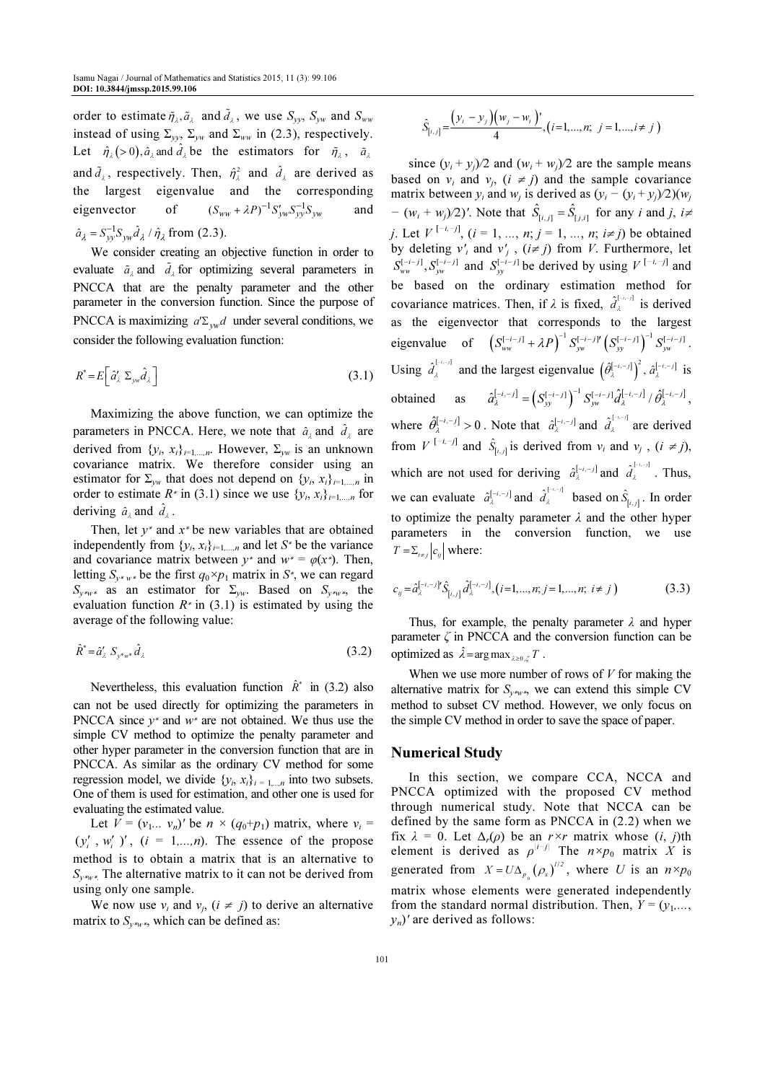order to estimate  $\tilde{\eta}_\lambda, \tilde{a}_\lambda$  and  $\tilde{d}_\lambda$ , we use  $S_{yy}$ ,  $S_{yw}$  and  $S_{ww}$ instead of using  $\Sigma_{yy}$ ,  $\Sigma_{yy}$  and  $\Sigma_{ww}$  in (2.3), respectively. Let  $\hat{\eta}_\lambda$  (> 0),  $\hat{a}_\lambda$  and  $\hat{d}_\lambda$  be the estimators for  $\tilde{\eta}_\lambda$ ,  $\tilde{a}_\lambda$ and  $\tilde{d}_\lambda$ , respectively. Then,  $\hat{\eta}^2_\lambda$  and  $\hat{d}_\lambda$  are derived as the largest eigenvalue and the corresponding eigenvector of  $(S_{ww} + \lambda P)^{-1} S'_{yw} S_{yy}^{-1} S_{yw}$  and  $\hat{a}_{\lambda} = S_{yy}^{-1} S_{yw} \hat{d}_{\lambda} / \hat{\eta}_{\lambda}$  from (2.3).

We consider creating an objective function in order to evaluate  $\tilde{a}_{\lambda}$  and  $\tilde{d}_{\lambda}$  for optimizing several parameters in PNCCA that are the penalty parameter and the other parameter in the conversion function. Since the purpose of PNCCA is maximizing  $a'\Sigma_{vw}d$  under several conditions, we consider the following evaluation function:

$$
R^* = E\left[\hat{a}'_{\lambda} \Sigma_{\mu\nu} \hat{d}_{\lambda}\right]
$$
 (3.1)

Maximizing the above function, we can optimize the parameters in PNCCA. Here, we note that  $\hat{a}_\lambda$  and  $\hat{d}_\lambda$  are derived from  $\{y_i, x_i\}_{i=1,\dots,n}$ . However,  $\Sigma_{yw}$  is an unknown covariance matrix. We therefore consider using an estimator for  $\Sigma_{yw}$  that does not depend on  $\{y_i, x_i\}_{i=1,\dots,n}$  in order to estimate  $R^*$  in (3.1) since we use  $\{y_i, x_i\}_{i=1,\dots,n}$  for deriving  $\hat{a}_{\lambda}$  and  $\hat{d}_{\lambda}$ .

Then, let  $y^*$  and  $x^*$  be new variables that are obtained independently from  $\{y_i, x_i\}_{i=1,\dots,n}$  and let  $S^*$  be the variance and covariance matrix between  $y^*$  and  $w^* = \varphi(x^*)$ . Then, letting  $S_{y*y*}$  be the first  $q_0 \times p_1$  matrix in  $S^*$ , we can regard S<sub>y\*w</sub>∗ as an estimator for  $\Sigma$ <sub>yw</sub>. Based on S<sub>y\*w</sub><sup>\*</sup>, the evaluation function  $R^*$  in (3.1) is estimated by using the average of the following value:

$$
\hat{R}^* = \hat{a}'_{\lambda} S_{y^*w^*} \hat{d}_{\lambda} \tag{3.2}
$$

Nevertheless, this evaluation function  $\hat{R}^*$  in (3.2) also can not be used directly for optimizing the parameters in PNCCA since  $y^*$  and  $w^*$  are not obtained. We thus use the simple CV method to optimize the penalty parameter and other hyper parameter in the conversion function that are in PNCCA. As similar as the ordinary CV method for some regression model, we divide  $\{y_i, x_i\}_{i=1,\dots,n}$  into two subsets. One of them is used for estimation, and other one is used for evaluating the estimated value.

Let  $V = (v_1... v_n)'$  be  $n \times (q_0+p_1)$  matrix, where  $v_i =$  $(y'_i, w'_i)$ ,  $(i = 1,...,n)$ . The essence of the propose method is to obtain a matrix that is an alternative to  $S_{y * w *}$ . The alternative matrix to it can not be derived from using only one sample.

We now use  $v_i$  and  $v_j$ ,  $(i \neq j)$  to derive an alternative matrix to  $S_{v^*w^*}$ , which can be defined as:

$$
\hat{S}_{[i,j]} = \frac{(y_i - y_j)(w_j - w_i)}{4}, (i = 1, ..., n; j = 1, ..., i \neq j)
$$

since  $(y_i + y_j)/2$  and  $(w_i + w_j)/2$  are the sample means based on  $v_i$  and  $v_j$ ,  $(i \neq j)$  and the sample covariance matrix between  $y_i$  and  $w_j$  is derived as  $(y_i - (y_i + y_j)/2)(w_j)$  $- (w_i + w_j)/2)'$ . Note that  $\hat{S}_{[i,j]} = \hat{S}_{[j,i]}$  for any i and j, i= *j*. Let  $V^{[-i,-j]}$ ,  $(i = 1, ..., n; j = 1, ..., n; i \neq j)$  be obtained by deleting  $v'_i$  and  $v'_j$ ,  $(i \neq j)$  from *V*. Furthermore, let  $S_{ww}^{[-i-j]}$ ,  $S_{yw}^{[-i-j]}$  and  $S_{yy}^{[-i-j]}$  be derived by using  $V^{[-i,-j]}$  and be based on the ordinary estimation method for covariance matrices. Then, if  $\lambda$  is fixed,  $\hat{d}_{\lambda}^{[-\lambda-\lambda]}$  is derived as the eigenvector that corresponds to the largest eigenvalue of  $(S_{ww}^{[-i-j]} + \lambda P)^{-1} S_{yw}^{[-i-j]} (S_{yy}^{[-i-j]})^{-1} S_{yw}^{[-i-j]}$ . Using  $\hat{d}_{\lambda}^{[-i,-j]}$  and the largest eigenvalue  $(\hat{\theta}_{\lambda}^{[-i,-j]})^2$ ,  $\hat{d}_{\lambda}^{[-i,-j]}$  is obtained as  $\hat{a}_{\lambda}^{[-i,-j]} = \left( S_{yy}^{[-i-j]} \right)^{-1} S_{yy}^{[-i-j]} \hat{a}_{\lambda}^{[-i,-j]} / \hat{\theta}_{\lambda}^{[-i,-j]}$ , where  $\hat{\theta}_{\lambda}^{[-i,-j]} > 0$ . Note that  $\hat{a}_{\lambda}^{[-i,-j]}$  and  $\hat{d}_{\lambda}^{[-i,-j]}$  are derived from  $V^{[-i,-j]}$  and  $\hat{S}_{[i,j]}$  is derived from  $v_i$  and  $v_j$ ,  $(i \neq j)$ , which are not used for deriving  $\hat{a}_{\lambda}^{[-i,-j]}$  and  $\hat{d}_{\lambda}^{[-i,-j]}$ . Thus, we can evaluate  $\hat{a}_{\lambda}^{[-i,-j]}$  and  $\hat{a}_{\lambda}^{[-i,-j]}$  based on  $\hat{S}_{[i,j]}$ . In order to optimize the penalty parameter  $\lambda$  and the other hyper parameters in the conversion function, we use  $T = \sum_{i \neq j} |c_{ij}|$  where:

$$
c_{ij} = \hat{a}_{\lambda}^{[-i,-j]} \hat{S}_{[i,j]} \hat{d}_{\lambda}^{[-i,-j]}, (i=1,...,n; j=1,...,n; i \neq j)
$$
 (3.3)

Thus, for example, the penalty parameter  $\lambda$  and hyper parameter  $\zeta$  in PNCCA and the conversion function can be optimized as  $\hat{\lambda} = \arg \max_{\lambda \geq 0, \zeta} T$ .

When we use more number of rows of  $V$  for making the alternative matrix for  $S_{\nu * \nu *}$ , we can extend this simple CV method to subset CV method. However, we only focus on the simple CV method in order to save the space of paper.

## Numerical Study

In this section, we compare CCA, NCCA and PNCCA optimized with the proposed CV method through numerical study. Note that NCCA can be defined by the same form as PNCCA in (2.2) when we fix  $\lambda = 0$ . Let  $\Delta_r(\rho)$  be an r×r matrix whose  $(i, j)$ th element is derived as  $\rho^{|i-j|}$  The  $n \times p_0$  matrix X is generated from  $X = U \Delta_{p_0}(\rho_x)$  $X = U \Delta_{p_{\alpha}} (\rho_x)^{1/2}$ , where U is an  $n \times p_0$ matrix whose elements were generated independently from the standard normal distribution. Then,  $Y = (y_1, \ldots, y_n)$  $y_n$ ' are derived as follows: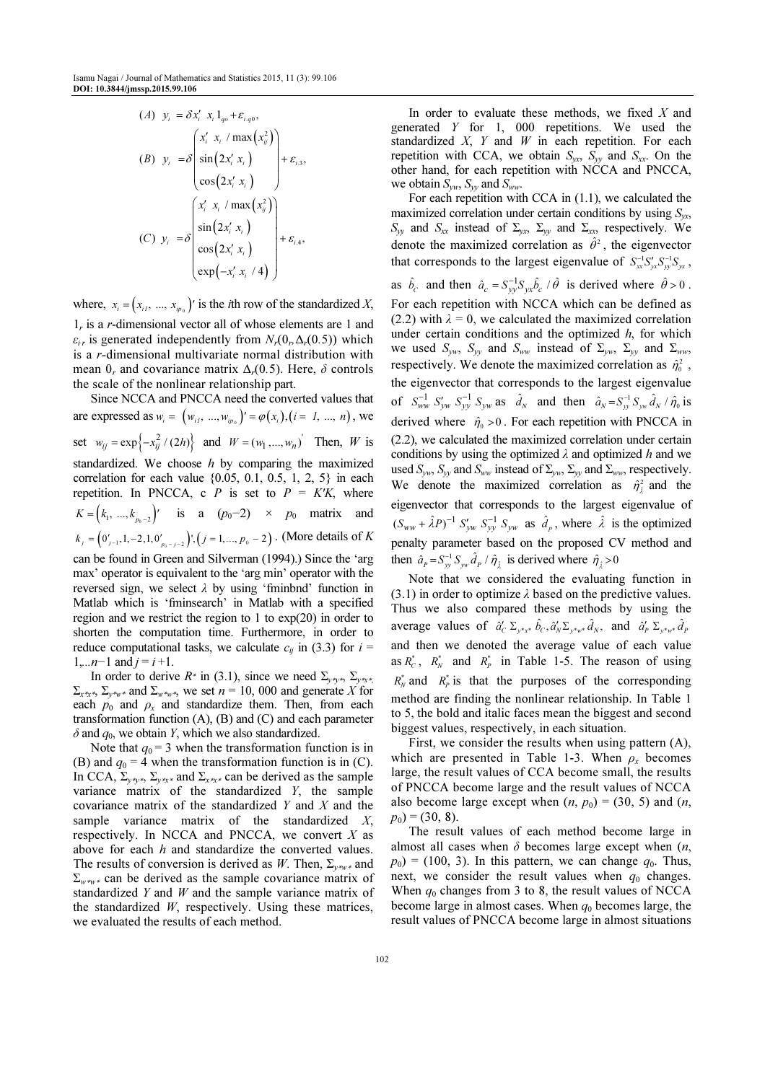$$
(A) \quad y_i = \delta x'_i \quad x_i \, 1_{qo} + \varepsilon_{i,qo},
$$
\n
$$
(B) \quad y_i = \delta \begin{pmatrix} x'_i & x_i / \max\left(x_{ij}^2\right) \\ \sin\left(2x'_i x_i\right) \\ \cos\left(2x'_i x_i\right) \end{pmatrix} + \varepsilon_{i,3},
$$
\n
$$
(C) \quad y_i = \delta \begin{pmatrix} x'_i & x_i / \max\left(x_{ij}^2\right) \\ \sin\left(2x'_i x_i\right) \\ \cos\left(2x'_i x_i\right) \\ \cos\left(2x'_i x_i\right) \\ \exp\left(-x'_i x_i / 4\right) \end{pmatrix} + \varepsilon_{i,4},
$$

where,  $x_i = (x_{i1}, ..., x_{i p_0})'$  is the *i*th row of the standardized X,  $1<sub>r</sub>$  is a *r*-dimensional vector all of whose elements are 1 and  $\varepsilon_{ir}$  is generated independently from  $N_r(0, \Delta_r(0.5))$  which is a r-dimensional multivariate normal distribution with mean  $0_r$  and covariance matrix  $\Delta_r(0.5)$ . Here,  $\delta$  controls the scale of the nonlinear relationship part.

Since NCCA and PNCCA need the converted values that are expressed as  $w_i = (w_{i1}, ..., w_{ip_0})' = \varphi(x_i), (i = 1, ..., n)$ , we set  $w_{ij} = \exp\{-x_{ij}^2 / (2h)\}\$  and  $W = (w_1, ..., w_n)$  Then, W is standardized. We choose  $h$  by comparing the maximized correlation for each value {0.05, 0.1, 0.5, 1, 2, 5} in each repetition. In PNCCA, c P is set to  $P = K'K$ , where  $K = (k_1, ..., k_{p_0-2})'$  is a  $(p_0-2) \times p_0$  matrix and  $k_j = (0'_{j-1}, 1, -2, 1, 0'_{p_0-j-2})$ ,  $(j = 1, ..., p_0-2)$ . (More details of K can be found in Green and Silverman (1994).) Since the 'arg max' operator is equivalent to the 'arg min' operator with the

reversed sign, we select  $\lambda$  by using 'fminbnd' function in Matlab which is 'fminsearch' in Matlab with a specified region and we restrict the region to 1 to exp(20) in order to shorten the computation time. Furthermore, in order to reduce computational tasks, we calculate  $c_{ij}$  in (3.3) for  $i =$  $1,...n-1$  and  $j = i+1$ .

In order to derive  $R^*$  in (3.1), since we need  $\Sigma_{y^*y^*}$ ,  $\Sigma_{y^*x^*}$  $\Sigma_{x^*x^*}$ ,  $\Sigma_{y^*w^*}$  and  $\Sigma_{w^*w^*}$ , we set  $n = 10$ , 000 and generate X for each  $p_0$  and  $p_x$  and standardize them. Then, from each transformation function  $(A)$ ,  $(B)$  and  $(C)$  and each parameter  $\delta$  and  $q_0$ , we obtain Y, which we also standardized.

Note that  $q_0 = 3$  when the transformation function is in (B) and  $q_0 = 4$  when the transformation function is in (C). In CCA,  $\Sigma_{y*y*}$ ,  $\Sigma_{y*x*}$  and  $\Sigma_{x*x*}$  can be derived as the sample variance matrix of the standardized Y, the sample covariance matrix of the standardized  $Y$  and  $X$  and the sample variance matrix of the standardized  $X$ , respectively. In NCCA and PNCCA, we convert  $X$  as above for each h and standardize the converted values. The results of conversion is derived as W. Then,  $\Sigma_{v^*w^*}$  and  $\Sigma_{w^*w^*}$  can be derived as the sample covariance matrix of standardized  $Y$  and  $W$  and the sample variance matrix of the standardized  $W$ , respectively. Using these matrices, we evaluated the results of each method.

In order to evaluate these methods, we fixed  $X$  and generated Y for 1, 000 repetitions. We used the standardized  $X$ ,  $Y$  and  $W$  in each repetition. For each repetition with CCA, we obtain  $S_{yx}$ ,  $S_{yy}$  and  $S_{xx}$ . On the other hand, for each repetition with NCCA and PNCCA, we obtain  $S_{yw}$ ,  $S_{yy}$  and  $S_{ww}$ 

For each repetition with CCA in (1.1), we calculated the maximized correlation under certain conditions by using  $S_{yx}$ ,  $S_{yy}$  and  $S_{xx}$  instead of  $\Sigma_{yx}$ ,  $\Sigma_{yy}$  and  $\Sigma_{xx}$ , respectively. We denote the maximized correlation as  $\hat{\theta}^2$ , the eigenvector that corresponds to the largest eigenvalue of  $S_{xx}^{-1}S'_{yx}S_{yy}^{-1}S_{yx}$ , as  $\hat{b}_c$  and then  $\hat{a}_c = S_{yy}^{-1} S_{yx} \hat{b}_c / \hat{\theta}$  is derived where  $\hat{\theta} > 0$ . For each repetition with NCCA which can be defined as (2.2) with  $\lambda = 0$ , we calculated the maximized correlation under certain conditions and the optimized  $h$ , for which we used  $S_{yw}$ ,  $S_{yy}$  and  $S_{ww}$  instead of  $\Sigma_{yw}$ ,  $\Sigma_{yy}$  and  $\Sigma_{ww}$ , respectively. We denote the maximized correlation as  $\hat{\eta}_0^2$ , the eigenvector that corresponds to the largest eigenvalue of  $S_{ww}^{-1} S_{yw}^{\prime} S_{yy}^{-1} S_{yw}$  as  $\hat{d}_N$  and then  $\hat{a}_N = S_{yy}^{-1} S_{yw} \hat{d}_N / \hat{\eta}_0$  is derived where  $\hat{\eta}_{0} > 0$ . For each repetition with PNCCA in (2.2), we calculated the maximized correlation under certain conditions by using the optimized  $\lambda$  and optimized h and we used  $S_{\gamma w}$ ,  $S_{\gamma y}$  and  $S_{w w}$  instead of  $\Sigma_{\gamma w}$ ,  $\Sigma_{\gamma y}$  and  $\Sigma_{w w}$ , respectively. We denote the maximized correlation as  $\hat{\eta}^2_{\hat{i}}$  and the eigenvector that corresponds to the largest eigenvalue of  $(S_{WW} + \hat{\lambda}P)^{-1} S'_{yw} S_{yy}^{-1} S_{yw}$  as  $\hat{d}_p$ , where  $\hat{\lambda}$  is the optimized penalty parameter based on the proposed CV method and then  $\hat{a}_p = S_{yy}^{-1} S_{yy} \hat{d}_p / \hat{\eta}_{\hat{\lambda}}$  is derived where  $\hat{\eta}_{\hat{\lambda}} > 0$ 

Note that we considered the evaluating function in  $(3.1)$  in order to optimize  $\lambda$  based on the predictive values. Thus we also compared these methods by using the average values of  $\hat{a}'_c \Sigma_{y^*x^*} \hat{b}_c, \hat{a}'_N \Sigma_{y^*y^*} \hat{d}_N$ , and  $\hat{a}'_p \Sigma_{y^*y^*} \hat{d}_p$ and then we denoted the average value of each value as  $R_c^*$ ,  $R_N^*$  and  $R_p^*$  in Table 1-5. The reason of using  $R_N^*$  and  $R_P^*$  is that the purposes of the corresponding method are finding the nonlinear relationship. In Table 1 to 5, the bold and italic faces mean the biggest and second biggest values, respectively, in each situation.

First, we consider the results when using pattern (A), which are presented in Table 1-3. When  $\rho_x$  becomes large, the result values of CCA become small, the results of PNCCA become large and the result values of NCCA also become large except when  $(n, p_0) = (30, 5)$  and  $(n,$  $p_0$ ) = (30, 8).

The result values of each method become large in almost all cases when  $\delta$  becomes large except when  $(n, \theta)$  $p_0$ ) = (100, 3). In this pattern, we can change  $q_0$ . Thus, next, we consider the result values when  $q_0$  changes. When  $q_0$  changes from 3 to 8, the result values of NCCA become large in almost cases. When  $q_0$  becomes large, the result values of PNCCA become large in almost situations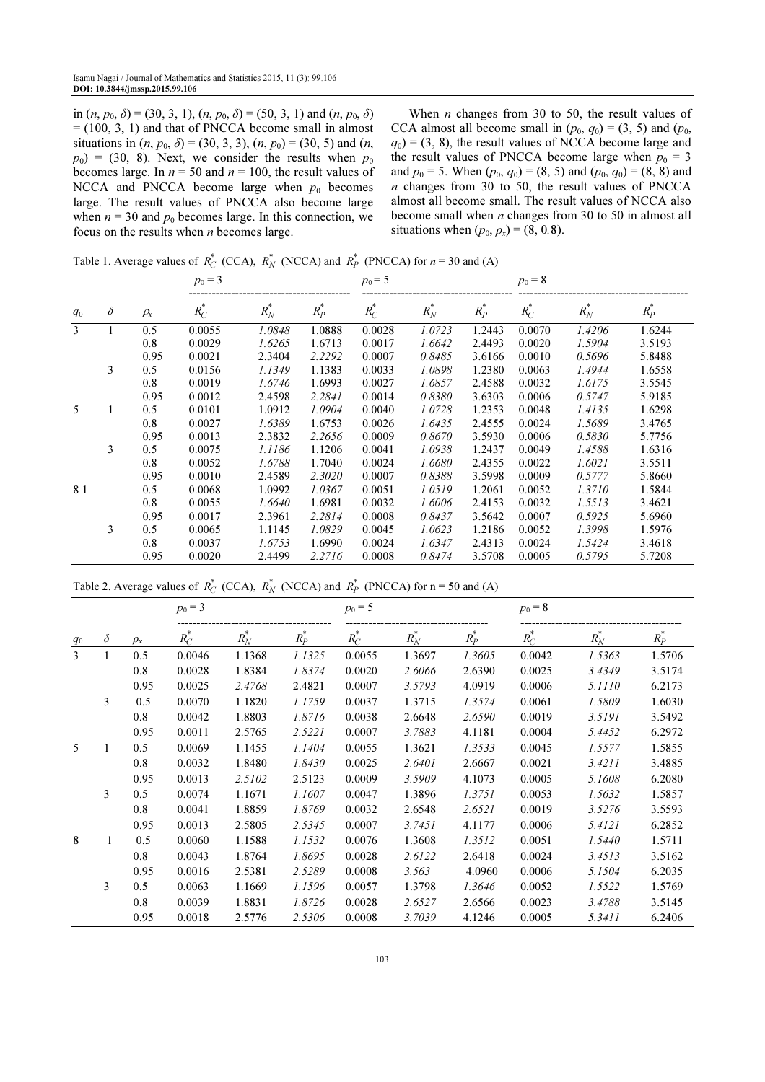in  $(n, p_0, \delta) = (30, 3, 1), (n, p_0, \delta) = (50, 3, 1)$  and  $(n, p_0, \delta)$  $= (100, 3, 1)$  and that of PNCCA become small in almost situations in  $(n, p_0, \delta) = (30, 3, 3), (n, p_0) = (30, 5)$  and  $(n,$  $p_0$ ) = (30, 8). Next, we consider the results when  $p_0$ becomes large. In  $n = 50$  and  $n = 100$ , the result values of NCCA and PNCCA become large when  $p_0$  becomes large. The result values of PNCCA also become large when  $n = 30$  and  $p_0$  becomes large. In this connection, we focus on the results when  $n$  becomes large.

When  $n$  changes from 30 to 50, the result values of CCA almost all become small in  $(p_0, q_0) = (3, 5)$  and  $(p_0,$  $q_0$ ) = (3, 8), the result values of NCCA become large and the result values of PNCCA become large when  $p_0 = 3$ and  $p_0 = 5$ . When  $(p_0, q_0) = (8, 5)$  and  $(p_0, q_0) = (8, 8)$  and n changes from 30 to 50, the result values of PNCCA almost all become small. The result values of NCCA also become small when  $n$  changes from 30 to 50 in almost all situations when  $(p_0, \rho_x) = (8, 0.8)$ .

Table 1. Average values of  $R_C^*$  (CCA),  $R_N^*$  (NCCA) and  $R_P^*$  (PNCCA) for  $n = 30$  and (A)

|       |          |            | $p_0 = 3$ |         |         | $p_0 = 5$ |         |         | $p_0 = 8$ |         |         |  |
|-------|----------|------------|-----------|---------|---------|-----------|---------|---------|-----------|---------|---------|--|
| $q_0$ | $\delta$ | $\rho_{x}$ | $R_C^*$   | $R_N^*$ | $R_P^*$ | $R_C^*$   | $R_N^*$ | $R_P^*$ | $R_C^*$   | $R_N^*$ | $R_P^*$ |  |
| 3     |          | 0.5        | 0.0055    | 1.0848  | 1.0888  | 0.0028    | 1.0723  | 1.2443  | 0.0070    | 1.4206  | 1.6244  |  |
|       |          | 0.8        | 0.0029    | 1.6265  | 1.6713  | 0.0017    | 1.6642  | 2.4493  | 0.0020    | 1.5904  | 3.5193  |  |
|       |          | 0.95       | 0.0021    | 2.3404  | 2.2292  | 0.0007    | 0.8485  | 3.6166  | 0.0010    | 0.5696  | 5.8488  |  |
|       | 3        | 0.5        | 0.0156    | 1.1349  | 1.1383  | 0.0033    | 1.0898  | 1.2380  | 0.0063    | 1.4944  | 1.6558  |  |
|       |          | 0.8        | 0.0019    | 1.6746  | 1.6993  | 0.0027    | 1.6857  | 2.4588  | 0.0032    | 1.6175  | 3.5545  |  |
|       |          | 0.95       | 0.0012    | 2.4598  | 2.2841  | 0.0014    | 0.8380  | 3.6303  | 0.0006    | 0.5747  | 5.9185  |  |
| 5     |          | 0.5        | 0.0101    | 1.0912  | 1.0904  | 0.0040    | 1.0728  | 1.2353  | 0.0048    | 1.4135  | 1.6298  |  |
|       |          | 0.8        | 0.0027    | 1.6389  | 1.6753  | 0.0026    | 1.6435  | 2.4555  | 0.0024    | 1.5689  | 3.4765  |  |
|       |          | 0.95       | 0.0013    | 2.3832  | 2.2656  | 0.0009    | 0.8670  | 3.5930  | 0.0006    | 0.5830  | 5.7756  |  |
|       | 3        | 0.5        | 0.0075    | 1.1186  | 1.1206  | 0.0041    | 1.0938  | 1.2437  | 0.0049    | 1.4588  | 1.6316  |  |
|       |          | 0.8        | 0.0052    | 1.6788  | 1.7040  | 0.0024    | 1.6680  | 2.4355  | 0.0022    | 1.6021  | 3.5511  |  |
|       |          | 0.95       | 0.0010    | 2.4589  | 2.3020  | 0.0007    | 0.8388  | 3.5998  | 0.0009    | 0.5777  | 5.8660  |  |
| 81    |          | 0.5        | 0.0068    | 1.0992  | 1.0367  | 0.0051    | 1.0519  | 1.2061  | 0.0052    | 1.3710  | 1.5844  |  |
|       |          | 0.8        | 0.0055    | 1.6640  | 1.6981  | 0.0032    | 1.6006  | 2.4153  | 0.0032    | 1.5513  | 3.4621  |  |
|       |          | 0.95       | 0.0017    | 2.3961  | 2.2814  | 0.0008    | 0.8437  | 3.5642  | 0.0007    | 0.5925  | 5.6960  |  |
|       | 3        | 0.5        | 0.0065    | 1.1145  | 1.0829  | 0.0045    | 1.0623  | 1.2186  | 0.0052    | 1.3998  | 1.5976  |  |
|       |          | 0.8        | 0.0037    | 1.6753  | 1.6990  | 0.0024    | 1.6347  | 2.4313  | 0.0024    | 1.5424  | 3.4618  |  |
|       |          | 0.95       | 0.0020    | 2.4499  | 2.2716  | 0.0008    | 0.8474  | 3.5708  | 0.0005    | 0.5795  | 5.7208  |  |

Table 2. Average values of  $R_C^*$  (CCA),  $R_N^*$  (NCCA) and  $R_P^*$  (PNCCA) for n = 50 and (A)

|       |          |          | $p_0 = 3$ |         |         | $p_0 = 5$ |         |         | $p_0 = 8$ |         |               |
|-------|----------|----------|-----------|---------|---------|-----------|---------|---------|-----------|---------|---------------|
| $q_0$ | $\delta$ | $\rho_x$ | $R_C^*$   | $R_N^*$ | $R_P^*$ | $R_C^*$   | $R_N^r$ | $R_P^r$ | $R_C^*$   | $R_N^*$ | $\tilde{R_P}$ |
| 3     |          | 0.5      | 0.0046    | 1.1368  | 1.1325  | 0.0055    | 1.3697  | 1.3605  | 0.0042    | 1.5363  | 1.5706        |
|       |          | 0.8      | 0.0028    | 1.8384  | 1.8374  | 0.0020    | 2.6066  | 2.6390  | 0.0025    | 3.4349  | 3.5174        |
|       |          | 0.95     | 0.0025    | 2.4768  | 2.4821  | 0.0007    | 3.5793  | 4.0919  | 0.0006    | 5.1110  | 6.2173        |
|       | 3        | 0.5      | 0.0070    | 1.1820  | 1.1759  | 0.0037    | 1.3715  | 1.3574  | 0.0061    | 1.5809  | 1.6030        |
|       |          | 0.8      | 0.0042    | 1.8803  | 1.8716  | 0.0038    | 2.6648  | 2.6590  | 0.0019    | 3.5191  | 3.5492        |
|       |          | 0.95     | 0.0011    | 2.5765  | 2.5221  | 0.0007    | 3.7883  | 4.1181  | 0.0004    | 5.4452  | 6.2972        |
| 5     | 1        | 0.5      | 0.0069    | 1.1455  | 1.1404  | 0.0055    | 1.3621  | 1.3533  | 0.0045    | 1.5577  | 1.5855        |
|       |          | 0.8      | 0.0032    | 1.8480  | 1.8430  | 0.0025    | 2.6401  | 2.6667  | 0.0021    | 3.4211  | 3.4885        |
|       |          | 0.95     | 0.0013    | 2.5102  | 2.5123  | 0.0009    | 3.5909  | 4.1073  | 0.0005    | 5.1608  | 6.2080        |
|       | 3        | 0.5      | 0.0074    | 1.1671  | 1.1607  | 0.0047    | 1.3896  | 1.3751  | 0.0053    | 1.5632  | 1.5857        |
|       |          | 0.8      | 0.0041    | 1.8859  | 1.8769  | 0.0032    | 2.6548  | 2.6521  | 0.0019    | 3.5276  | 3.5593        |
|       |          | 0.95     | 0.0013    | 2.5805  | 2.5345  | 0.0007    | 3.7451  | 4.1177  | 0.0006    | 5.4121  | 6.2852        |
| 8     |          | 0.5      | 0.0060    | 1.1588  | 1.1532  | 0.0076    | 1.3608  | 1.3512  | 0.0051    | 1.5440  | 1.5711        |
|       |          | 0.8      | 0.0043    | 1.8764  | 1.8695  | 0.0028    | 2.6122  | 2.6418  | 0.0024    | 3.4513  | 3.5162        |
|       |          | 0.95     | 0.0016    | 2.5381  | 2.5289  | 0.0008    | 3.563   | 4.0960  | 0.0006    | 5.1504  | 6.2035        |
|       | 3        | 0.5      | 0.0063    | 1.1669  | 1.1596  | 0.0057    | 1.3798  | 1.3646  | 0.0052    | 1.5522  | 1.5769        |
|       |          | 0.8      | 0.0039    | 1.8831  | 1.8726  | 0.0028    | 2.6527  | 2.6566  | 0.0023    | 3.4788  | 3.5145        |
|       |          | 0.95     | 0.0018    | 2.5776  | 2.5306  | 0.0008    | 3.7039  | 4.1246  | 0.0005    | 5.3411  | 6.2406        |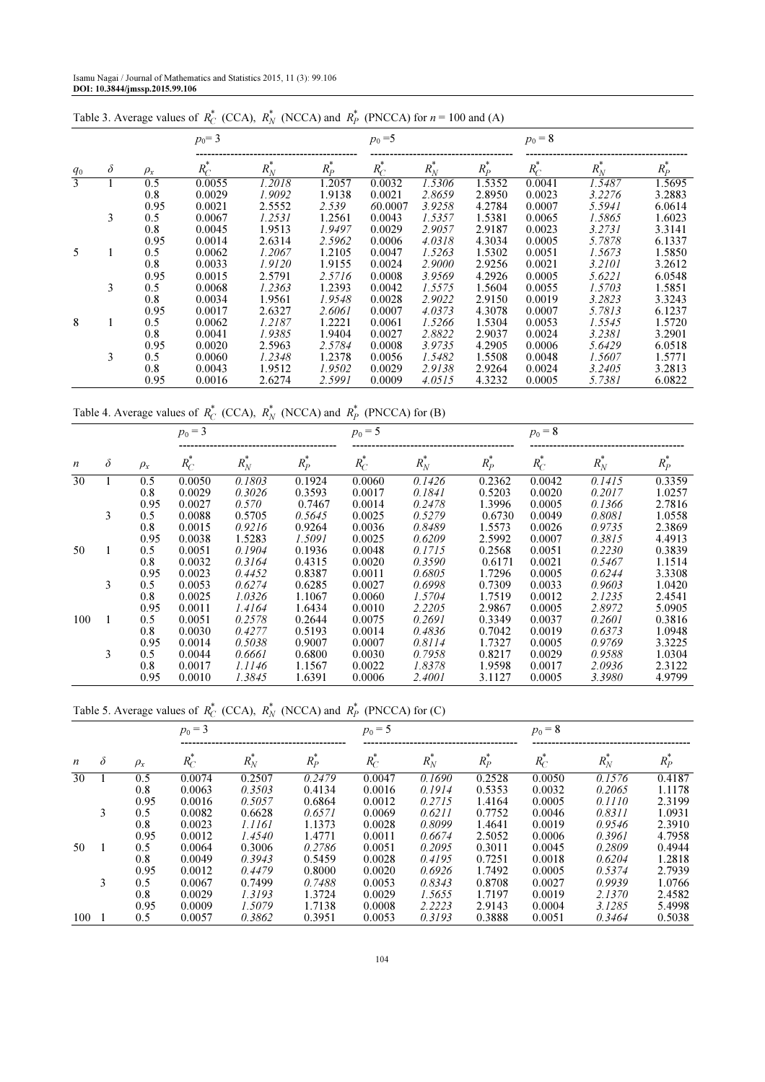|       |          |          | $p_0 = 3$ |         |         | $p_0 = 5$ |         |         | $p_0 = 8$ |         |         |  |
|-------|----------|----------|-----------|---------|---------|-----------|---------|---------|-----------|---------|---------|--|
| $q_0$ | $\delta$ | $\rho_x$ | $R_C^*$   | $R_N^*$ | $R_P^*$ | $R_C^*$   | $R_N^*$ | $R_P^*$ | $R_C^*$   | $R_N^*$ | $R_P^*$ |  |
| 3     |          | 0.5      | 0.0055    | 1.2018  | .2057   | 0.0032    | 1.5306  | 1.5352  | 0.0041    | 1.5487  | 1.5695  |  |
|       |          | 0.8      | 0.0029    | 1.9092  | 1.9138  | 0.0021    | 2.8659  | 2.8950  | 0.0023    | 3.2276  | 3.2883  |  |
|       |          | 0.95     | 0.0021    | 2.5552  | 2.539   | 60.0007   | 3.9258  | 4.2784  | 0.0007    | 5.5941  | 6.0614  |  |
|       | 3        | 0.5      | 0.0067    | 1.2531  | 1.2561  | 0.0043    | 1.5357  | 1.5381  | 0.0065    | 1.5865  | 1.6023  |  |
|       |          | 0.8      | 0.0045    | 1.9513  | 1.9497  | 0.0029    | 2.9057  | 2.9187  | 0.0023    | 3.2731  | 3.3141  |  |
|       |          | 0.95     | 0.0014    | 2.6314  | 2.5962  | 0.0006    | 4.0318  | 4.3034  | 0.0005    | 5.7878  | 6.1337  |  |
| 5     |          | 0.5      | 0.0062    | 1.2067  | 1.2105  | 0.0047    | 1.5263  | 1.5302  | 0.0051    | 1.5673  | 1.5850  |  |
|       |          | 0.8      | 0.0033    | 1.9120  | 1.9155  | 0.0024    | 2.9000  | 2.9256  | 0.0021    | 3.2101  | 3.2612  |  |
|       |          | 0.95     | 0.0015    | 2.5791  | 2.5716  | 0.0008    | 3.9569  | 4.2926  | 0.0005    | 5.6221  | 6.0548  |  |
|       | 3        | 0.5      | 0.0068    | 1.2363  | 1.2393  | 0.0042    | 1.5575  | 1.5604  | 0.0055    | 1.5703  | 1.5851  |  |
|       |          | 0.8      | 0.0034    | 1.9561  | 1.9548  | 0.0028    | 2.9022  | 2.9150  | 0.0019    | 3.2823  | 3.3243  |  |
|       |          | 0.95     | 0.0017    | 2.6327  | 2.6061  | 0.0007    | 4.0373  | 4.3078  | 0.0007    | 5.7813  | 6.1237  |  |
| 8     |          | 0.5      | 0.0062    | 1.2187  | 1.2221  | 0.0061    | 1.5266  | 1.5304  | 0.0053    | 1.5545  | 1.5720  |  |
|       |          | 0.8      | 0.0041    | 1.9385  | 1.9404  | 0.0027    | 2.8822  | 2.9037  | 0.0024    | 3.2381  | 3.2901  |  |
|       |          | 0.95     | 0.0020    | 2.5963  | 2.5784  | 0.0008    | 3.9735  | 4.2905  | 0.0006    | 5.6429  | 6.0518  |  |
|       | 3        | 0.5      | 0.0060    | 1.2348  | 1.2378  | 0.0056    | 1.5482  | 1.5508  | 0.0048    | 1.5607  | 1.5771  |  |
|       |          | 0.8      | 0.0043    | 1.9512  | 1.9502  | 0.0029    | 2.9138  | 2.9264  | 0.0024    | 3.2405  | 3.2813  |  |
|       |          | 0.95     | 0.0016    | 2.6274  | 2.5991  | 0.0009    | 4.0515  | 4.3232  | 0.0005    | 5.7381  | 6.0822  |  |

Table 3. Average values of  $R_C^*$  (CCA),  $R_N^*$  (NCCA) and  $R_P^*$  (PNCCA) for  $n = 100$  and (A)

Table 4. Average values of  $R_C^*$  (CCA),  $R_N^*$  (NCCA) and  $R_P^*$  (PNCCA) for (B)

|                  |          |          | $p_0 = 3$ |         |                                          | $p_0 = 5$ |         |         | $p_0 = 8$ |                      |         |  |
|------------------|----------|----------|-----------|---------|------------------------------------------|-----------|---------|---------|-----------|----------------------|---------|--|
| $\boldsymbol{n}$ | $\delta$ | $\rho_x$ | $R_C^*$   | $R_N^*$ | $\ensuremath{\mathnormal{R}}\xspace^*_P$ | $R_C^*$   | $R_N^*$ | $R_P^*$ | $R_C^*$   | $\boldsymbol{R}_N^*$ | $R_P^*$ |  |
| 30               |          | 0.5      | 0.0050    | 0.1803  | 0.1924                                   | 0.0060    | 0.1426  | 0.2362  | 0.0042    | 0.1415               | 0.3359  |  |
|                  |          | 0.8      | 0.0029    | 0.3026  | 0.3593                                   | 0.0017    | 0.1841  | 0.5203  | 0.0020    | 0.2017               | 1.0257  |  |
|                  |          | 0.95     | 0.0027    | 0.570   | 0.7467                                   | 0.0014    | 0.2478  | 1.3996  | 0.0005    | 0.1366               | 2.7816  |  |
|                  | 3        | 0.5      | 0.0088    | 0.5705  | 0.5645                                   | 0.0025    | 0.5279  | 0.6730  | 0.0049    | 0.8081               | 1.0558  |  |
|                  |          | 0.8      | 0.0015    | 0.9216  | 0.9264                                   | 0.0036    | 0.8489  | 1.5573  | 0.0026    | 0.9735               | 2.3869  |  |
|                  |          | 0.95     | 0.0038    | 1.5283  | 1.5091                                   | 0.0025    | 0.6209  | 2.5992  | 0.0007    | 0.3815               | 4.4913  |  |
| 50               |          | 0.5      | 0.0051    | 0.1904  | 0.1936                                   | 0.0048    | 0.1715  | 0.2568  | 0.0051    | 0.2230               | 0.3839  |  |
|                  |          | 0.8      | 0.0032    | 0.3164  | 0.4315                                   | 0.0020    | 0.3590  | 0.6171  | 0.0021    | 0.5467               | 1.1514  |  |
|                  |          | 0.95     | 0.0023    | 0.4452  | 0.8387                                   | 0.0011    | 0.6805  | 1.7296  | 0.0005    | 0.6244               | 3.3308  |  |
|                  | 3        | 0.5      | 0.0053    | 0.6274  | 0.6285                                   | 0.0027    | 0.6998  | 0.7309  | 0.0033    | 0.9603               | 1.0420  |  |
|                  |          | 0.8      | 0.0025    | 1.0326  | 1.1067                                   | 0.0060    | 1.5704  | 1.7519  | 0.0012    | 2.1235               | 2.4541  |  |
|                  |          | 0.95     | 0.0011    | 1.4164  | 1.6434                                   | 0.0010    | 2.2205  | 2.9867  | 0.0005    | 2.8972               | 5.0905  |  |
| 100              |          | 0.5      | 0.0051    | 0.2578  | 0.2644                                   | 0.0075    | 0.2691  | 0.3349  | 0.0037    | 0.2601               | 0.3816  |  |
|                  |          | 0.8      | 0.0030    | 0.4277  | 0.5193                                   | 0.0014    | 0.4836  | 0.7042  | 0.0019    | 0.6373               | 1.0948  |  |
|                  |          | 0.95     | 0.0014    | 0.5038  | 0.9007                                   | 0.0007    | 0.8114  | 1.7327  | 0.0005    | 0.9769               | 3.3225  |  |
|                  | 3        | 0.5      | 0.0044    | 0.6661  | 0.6800                                   | 0.0030    | 0.7958  | 0.8217  | 0.0029    | 0.9588               | 1.0304  |  |
|                  |          | 0.8      | 0.0017    | 1.1146  | 1.1567                                   | 0.0022    | 1.8378  | 1.9598  | 0.0017    | 2.0936               | 2.3122  |  |
|                  |          | 0.95     | 0.0010    | 1.3845  | 1.6391                                   | 0.0006    | 2.4001  | 3.1127  | 0.0005    | 3.3980               | 4.9799  |  |

Table 5. Average values of  $R_C^*$  (CCA),  $R_N^*$  (NCCA) and  $R_P^*$  (PNCCA) for (C)

| $\boldsymbol{n}$ |          |          | $p_0 = 3$ |         |         | $p_0 = 5$ |         |         | $p_0 = 8$ |         |         |  |
|------------------|----------|----------|-----------|---------|---------|-----------|---------|---------|-----------|---------|---------|--|
|                  | $\delta$ | $\rho_x$ | $R_C^*$   | $R_N^*$ | $R_P^*$ | $R_C^*$   | $R_N^*$ | $R_P^*$ | $R_C^*$   | $R_N^*$ | $R_P^*$ |  |
| 30               |          | 0.5      | 0.0074    | 0.2507  | 0.2479  | 0.0047    | 0.1690  | 0.2528  | 0.0050    | 0.1576  | 0.4187  |  |
|                  |          | 0.8      | 0.0063    | 0.3503  | 0.4134  | 0.0016    | 0.1914  | 0.5353  | 0.0032    | 0.2065  | 1.1178  |  |
|                  |          | 0.95     | 0.0016    | 0.5057  | 0.6864  | 0.0012    | 0.2715  | 1.4164  | 0.0005    | 0.1110  | 2.3199  |  |
|                  | 3        | 0.5      | 0.0082    | 0.6628  | 0.6571  | 0.0069    | 0.6211  | 0.7752  | 0.0046    | 0.8311  | 1.0931  |  |
|                  |          | 0.8      | 0.0023    | 1.1161  | 1.1373  | 0.0028    | 0.8099  | 1.4641  | 0.0019    | 0.9546  | 2.3910  |  |
|                  |          | 0.95     | 0.0012    | 1.4540  | 1.4771  | 0.0011    | 0.6674  | 2.5052  | 0.0006    | 0.3961  | 4.7958  |  |
| 50               |          | 0.5      | 0.0064    | 0.3006  | 0.2786  | 0.0051    | 0.2095  | 0.3011  | 0.0045    | 0.2809  | 0.4944  |  |
|                  |          | 0.8      | 0.0049    | 0.3943  | 0.5459  | 0.0028    | 0.4195  | 0.7251  | 0.0018    | 0.6204  | 1.2818  |  |
|                  |          | 0.95     | 0.0012    | 0.4479  | 0.8000  | 0.0020    | 0.6926  | 1.7492  | 0.0005    | 0.5374  | 2.7939  |  |
|                  | 3        | 0.5      | 0.0067    | 0.7499  | 0.7488  | 0.0053    | 0.8343  | 0.8708  | 0.0027    | 0.9939  | 1.0766  |  |
|                  |          | 0.8      | 0.0029    | 1.3193  | 1.3724  | 0.0029    | 1.5655  | 1.7197  | 0.0019    | 2.1370  | 2.4582  |  |
|                  |          | 0.95     | 0.0009    | 1.5079  | 1.7138  | 0.0008    | 2.2223  | 2.9143  | 0.0004    | 3.1285  | 5.4998  |  |
| 100              |          | 0.5      | 0.0057    | 0.3862  | 0.3951  | 0.0053    | 0.3193  | 0.3888  | 0.0051    | 0.3464  | 0.5038  |  |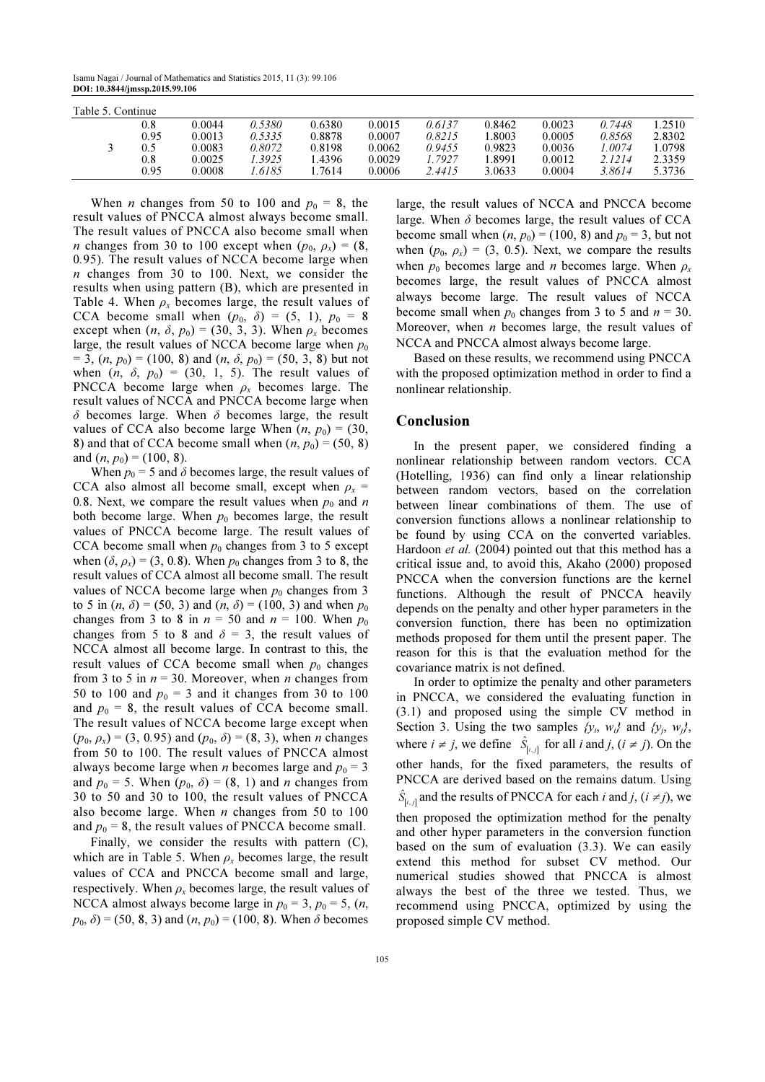Isamu Nagai / Journal of Mathematics and Statistics 2015, 11 (3): 99.106 DOI: 10.3844/jmssp.2015.99.106

| Table 5. Continue |         |        |        |        |        |        |        |        |        |        |  |
|-------------------|---------|--------|--------|--------|--------|--------|--------|--------|--------|--------|--|
|                   | $0.8\,$ | 0.0044 | 0.5380 | 0.6380 | 0.0015 | 0.6137 | 0.8462 | 0.0023 | 0.7448 | .2510  |  |
|                   | 0.95    | 0.0013 | 0.5335 | 0.8878 | 0.0007 | 0.8215 | .8003  | 0.0005 | 0.8568 | 2.8302 |  |
|                   |         | 0.0083 | 0.8072 | 0.8198 | 0.0062 | 0.9455 | 0.9823 | 0.0036 | .0074  | 1.0798 |  |
|                   | 0.8     | 0.0025 | .3925  | .4396  | 0.0029 | . 7927 | .8991  | 0.0012 | 2.1214 | 2.3359 |  |
|                   | 0.95    | 0.0008 | .6185  | .7614  | 0.0006 | 2.4415 | 3.0633 | 0.0004 | 3.8614 | 5.3736 |  |

When *n* changes from 50 to 100 and  $p_0 = 8$ , the result values of PNCCA almost always become small. The result values of PNCCA also become small when *n* changes from 30 to 100 except when  $(p_0, p_x) = (8,$ 0.95). The result values of NCCA become large when n changes from 30 to 100. Next, we consider the results when using pattern (B), which are presented in Table 4. When  $\rho_x$  becomes large, the result values of CCA become small when  $(p_0, \delta) = (5, 1), p_0 = 8$ except when  $(n, \delta, p_0) = (30, 3, 3)$ . When  $\rho_x$  becomes large, the result values of NCCA become large when  $p_0$  $= 3$ ,  $(n, p_0) = (100, 8)$  and  $(n, \delta, p_0) = (50, 3, 8)$  but not when  $(n, \delta, p_0) = (30, 1, 5)$ . The result values of PNCCA become large when  $\rho_x$  becomes large. The result values of NCCA and PNCCA become large when  $\delta$  becomes large. When  $\delta$  becomes large, the result values of CCA also become large When  $(n, p_0) = (30,$ 8) and that of CCA become small when  $(n, p_0) = (50, 8)$ and  $(n, p_0) = (100, 8)$ .

When  $p_0 = 5$  and  $\delta$  becomes large, the result values of CCA also almost all become small, except when  $\rho_x$  = 0.8. Next, we compare the result values when  $p_0$  and n both become large. When  $p_0$  becomes large, the result values of PNCCA become large. The result values of CCA become small when  $p_0$  changes from 3 to 5 except when  $(\delta, \rho_x)$  = (3, 0.8). When  $p_0$  changes from 3 to 8, the result values of CCA almost all become small. The result values of NCCA become large when  $p_0$  changes from 3 to 5 in  $(n, \delta) = (50, 3)$  and  $(n, \delta) = (100, 3)$  and when  $p_0$ changes from 3 to 8 in  $n = 50$  and  $n = 100$ . When  $p_0$ changes from 5 to 8 and  $\delta = 3$ , the result values of NCCA almost all become large. In contrast to this, the result values of CCA become small when  $p_0$  changes from 3 to 5 in  $n = 30$ . Moreover, when *n* changes from 50 to 100 and  $p_0 = 3$  and it changes from 30 to 100 and  $p_0 = 8$ , the result values of CCA become small. The result values of NCCA become large except when  $(p_0, \rho_x) = (3, 0.95)$  and  $(p_0, \delta) = (8, 3)$ , when *n* changes from 50 to 100. The result values of PNCCA almost always become large when *n* becomes large and  $p_0 = 3$ and  $p_0 = 5$ . When  $(p_0, \delta) = (8, 1)$  and *n* changes from 30 to 50 and 30 to 100, the result values of PNCCA also become large. When  $n$  changes from 50 to 100 and  $p_0 = 8$ , the result values of PNCCA become small.

Finally, we consider the results with pattern (C), which are in Table 5. When  $\rho_x$  becomes large, the result values of CCA and PNCCA become small and large, respectively. When  $\rho_x$  becomes large, the result values of NCCA almost always become large in  $p_0 = 3$ ,  $p_0 = 5$ ,  $(n,$  $p_0$ ,  $\delta$ ) = (50, 8, 3) and (*n*,  $p_0$ ) = (100, 8). When  $\delta$  becomes large, the result values of NCCA and PNCCA become large. When  $\delta$  becomes large, the result values of CCA become small when  $(n, p_0) = (100, 8)$  and  $p_0 = 3$ , but not when  $(p_0, p_x) = (3, 0.5)$ . Next, we compare the results when  $p_0$  becomes large and *n* becomes large. When  $p_x$ becomes large, the result values of PNCCA almost always become large. The result values of NCCA become small when  $p_0$  changes from 3 to 5 and  $n = 30$ . Moreover, when  $n$  becomes large, the result values of NCCA and PNCCA almost always become large.

Based on these results, we recommend using PNCCA with the proposed optimization method in order to find a nonlinear relationship.

#### Conclusion

In the present paper, we considered finding a nonlinear relationship between random vectors. CCA (Hotelling, 1936) can find only a linear relationship between random vectors, based on the correlation between linear combinations of them. The use of conversion functions allows a nonlinear relationship to be found by using CCA on the converted variables. Hardoon et al. (2004) pointed out that this method has a critical issue and, to avoid this, Akaho (2000) proposed PNCCA when the conversion functions are the kernel functions. Although the result of PNCCA heavily depends on the penalty and other hyper parameters in the conversion function, there has been no optimization methods proposed for them until the present paper. The reason for this is that the evaluation method for the covariance matrix is not defined.

In order to optimize the penalty and other parameters in PNCCA, we considered the evaluating function in (3.1) and proposed using the simple CV method in Section 3. Using the two samples  $\{y_i, w_i\}$  and  $\{y_j, w_j\}$ , where  $i \neq j$ , we define  $\hat{S}_{[i,j]}$  for all i and j,  $(i \neq j)$ . On the other hands, for the fixed parameters, the results of PNCCA are derived based on the remains datum. Using  $[i, j]$  $\hat{S}_{[i,j]}$  and the results of PNCCA for each *i* and *j*, (*i*  $\neq$  *j*), we then proposed the optimization method for the penalty and other hyper parameters in the conversion function based on the sum of evaluation (3.3). We can easily extend this method for subset CV method. Our numerical studies showed that PNCCA is almost always the best of the three we tested. Thus, we recommend using PNCCA, optimized by using the proposed simple CV method.